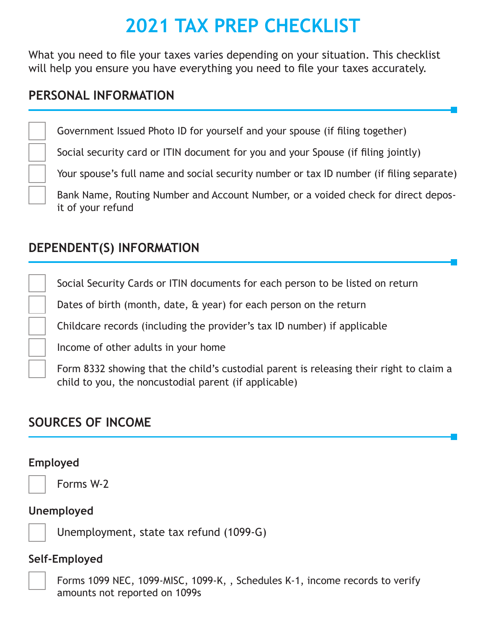# **2021 TAX PREP CHECKLIST**

What you need to file your taxes varies depending on your situation. This checklist will help you ensure you have everything you need to file your taxes accurately.

## **PERSONAL INFORMATION**

Government Issued Photo ID for yourself and your spouse (if filing together)

Social security card or ITIN document for you and your Spouse (if filing jointly)

Your spouse's full name and social security number or tax ID number (if filing separate)

Bank Name, Routing Number and Account Number, or a voided check for direct deposit of your refund

## **DEPENDENT(S) INFORMATION**

Social Security Cards or ITIN documents for each person to be listed on return

Dates of birth (month, date, & year) for each person on the return

Childcare records (including the provider's tax ID number) if applicable

Income of other adults in your home

Form 8332 showing that the child's custodial parent is releasing their right to claim a child to you, the noncustodial parent (if applicable)

## **SOURCES OF INCOME**

#### **Employed**

Forms W-2

#### **Unemployed**

Unemployment, state tax refund (1099-G)

#### **Self-Employed**



Forms 1099 NEC, 1099-MISC, 1099-K, , Schedules K-1, income records to verify amounts not reported on 1099s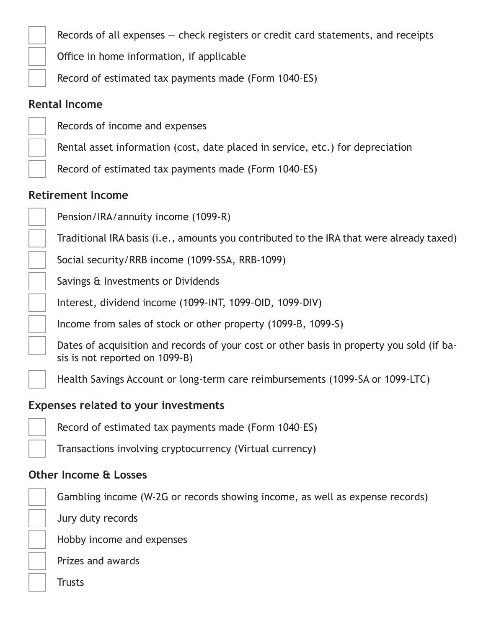Records of all expenses — check registers or credit card statements, and receipts

Office in home information, if applicable

Record of estimated tax payments made (Form 1040–ES)

## **Rental Income**

Records of income and expenses

Rental asset information (cost, date placed in service, etc.) for depreciation

Record of estimated tax payments made (Form 1040–ES)

### **Retirement Income**

Pension/IRA/annuity income (1099-R)

Traditional IRA basis (i.e., amounts you contributed to the IRA that were already taxed)

Social security/RRB income (1099-SSA, RRB-1099)

Savings & Investments or Dividends

Interest, dividend income (1099-INT, 1099-OID, 1099-DIV)

Income from sales of stock or other property (1099-B, 1099-S)

Dates of acquisition and records of your cost or other basis in property you sold (if basis is not reported on 1099-B)

Health Savings Account or long-term care reimbursements (1099-SA or 1099-LTC)

#### **Expenses related to your investments**

Record of estimated tax payments made (Form 1040–ES)

Transactions involving cryptocurrency (Virtual currency)

## **Other Income & Losses**

Gambling income (W-2G or records showing income, as well as expense records)

Jury duty records

Hobby income and expenses

Prizes and awards

**Trusts**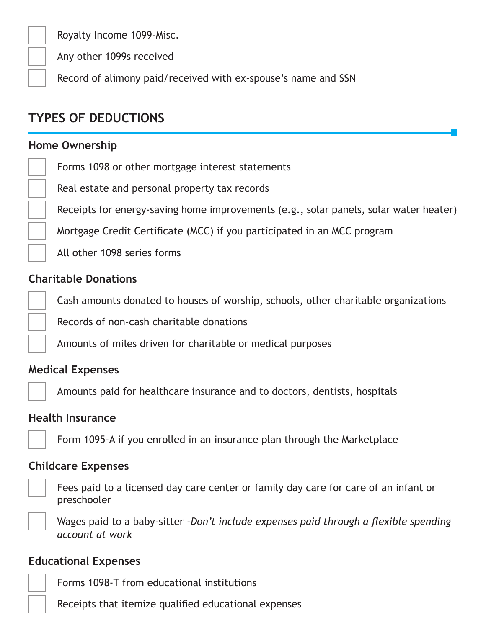Royalty Income 1099–Misc.

Any other 1099s received

Record of alimony paid/received with ex-spouse's name and SSN

## **TYPES OF DEDUCTIONS**

#### **Home Ownership**

Forms 1098 or other mortgage interest statements

Real estate and personal property tax records

Receipts for energy-saving home improvements (e.g., solar panels, solar water heater)

Mortgage Credit Certificate (MCC) if you participated in an MCC program

All other 1098 series forms

#### **Charitable Donations**

Cash amounts donated to houses of worship, schools, other charitable organizations

Records of non-cash charitable donations

Amounts of miles driven for charitable or medical purposes

#### **Medical Expenses**

Amounts paid for healthcare insurance and to doctors, dentists, hospitals

#### **Health Insurance**

Form 1095-A if you enrolled in an insurance plan through the Marketplace

#### **Childcare Expenses**

Fees paid to a licensed day care center or family day care for care of an infant or preschooler

Wages paid to a baby-sitter -*Don't include expenses paid through a flexible spending account at work*

#### **Educational Expenses**

Forms 1098-T from educational institutions

Receipts that itemize qualified educational expenses